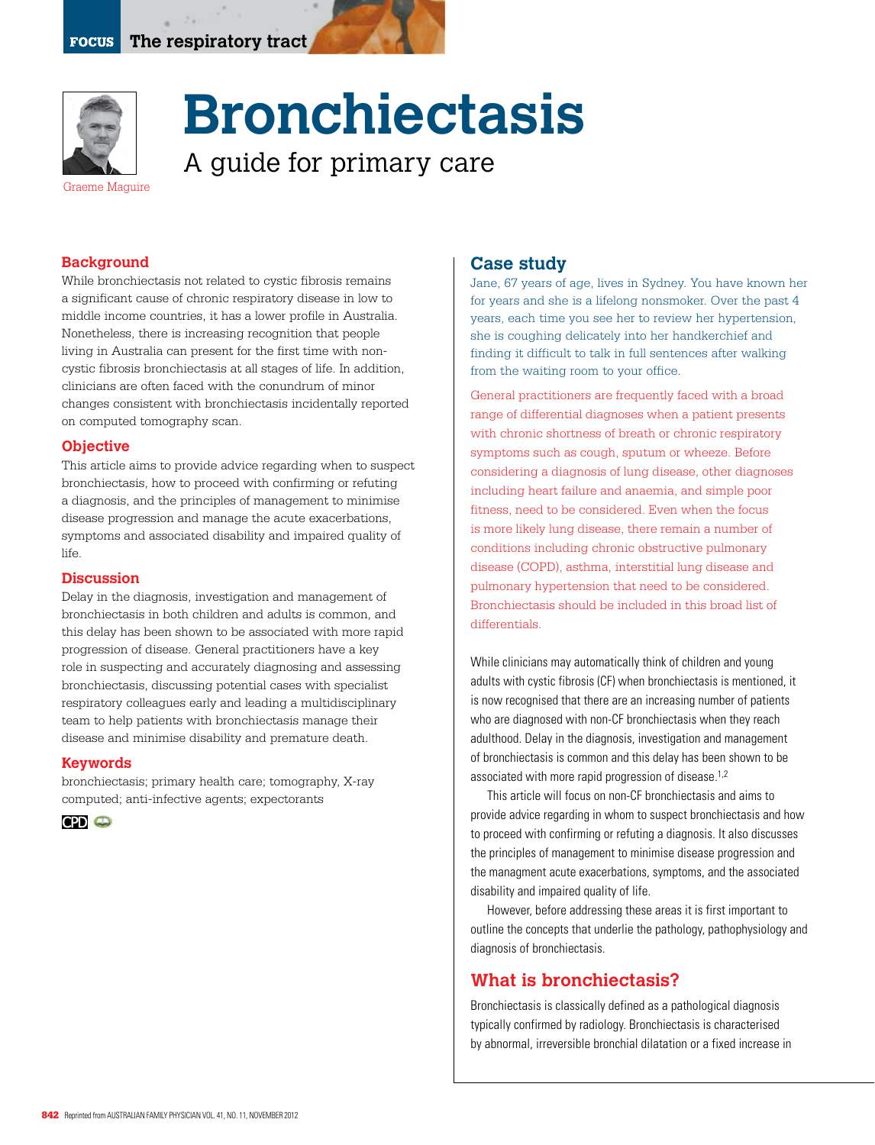

# **Bronchiectasis** A guide for primary care

Graeme Maguire

#### **Background**

While bronchiectasis not related to cystic fibrosis remains a significant cause of chronic respiratory disease in low to middle income countries, it has a lower profile in Australia. Nonetheless, there is increasing recognition that people living in Australia can present for the first time with noncystic fibrosis bronchiectasis at all stages of life. In addition, clinicians are often faced with the conundrum of minor changes consistent with bronchiectasis incidentally reported on computed tomography scan.

#### **Objective**

This article aims to provide advice regarding when to suspect bronchiectasis, how to proceed with confirming or refuting a diagnosis, and the principles of management to minimise disease progression and manage the acute exacerbations, symptoms and associated disability and impaired quality of life.

#### **Discussion**

Delay in the diagnosis, investigation and management of bronchiectasis in both children and adults is common, and this delay has been shown to be associated with more rapid progression of disease. General practitioners have a key role in suspecting and accurately diagnosing and assessing bronchiectasis, discussing potential cases with specialist respiratory colleagues early and leading a multidisciplinary team to help patients with bronchiectasis manage their disease and minimise disability and premature death.

#### **Keywords**

bronchiectasis; primary health care; tomography, X-ray computed; anti-infective agents; expectorants



#### **Case study**

Jane, 67 years of age, lives in Sydney. You have known her for years and she is a lifelong nonsmoker. Over the past 4 years, each time you see her to review her hypertension, she is coughing delicately into her handkerchief and finding it difficult to talk in full sentences after walking from the waiting room to your office.

General practitioners are frequently faced with a broad range of differential diagnoses when a patient presents with chronic shortness of breath or chronic respiratory symptoms such as cough, sputum or wheeze. Before considering a diagnosis of lung disease, other diagnoses including heart failure and anaemia, and simple poor fitness, need to be considered. Even when the focus is more likely lung disease, there remain a number of conditions including chronic obstructive pulmonary disease (COPD), asthma, interstitial lung disease and pulmonary hypertension that need to be considered. Bronchiectasis should be included in this broad list of differentials.

While clinicians may automatically think of children and young adults with cystic fibrosis (CF) when bronchiectasis is mentioned, it is now recognised that there are an increasing number of patients who are diagnosed with non-CF bronchiectasis when they reach adulthood. Delay in the diagnosis, investigation and management of bronchiectasis is common and this delay has been shown to be associated with more rapid progression of disease.<sup>1,2</sup>

This article will focus on non-CF bronchiectasis and aims to provide advice regarding in whom to suspect bronchiectasis and how to proceed with confirming or refuting a diagnosis. It also discusses the principles of management to minimise disease progression and the managment acute exacerbations, symptoms, and the associated disability and impaired quality of life.

However, before addressing these areas it is first important to outline the concepts that underlie the pathology, pathophysiology and diagnosis of bronchiectasis.

## **What is bronchiectasis?**

Bronchiectasis is classically defined as a pathological diagnosis typically confirmed by radiology. Bronchiectasis is characterised by abnormal, irreversible bronchial dilatation or a fixed increase in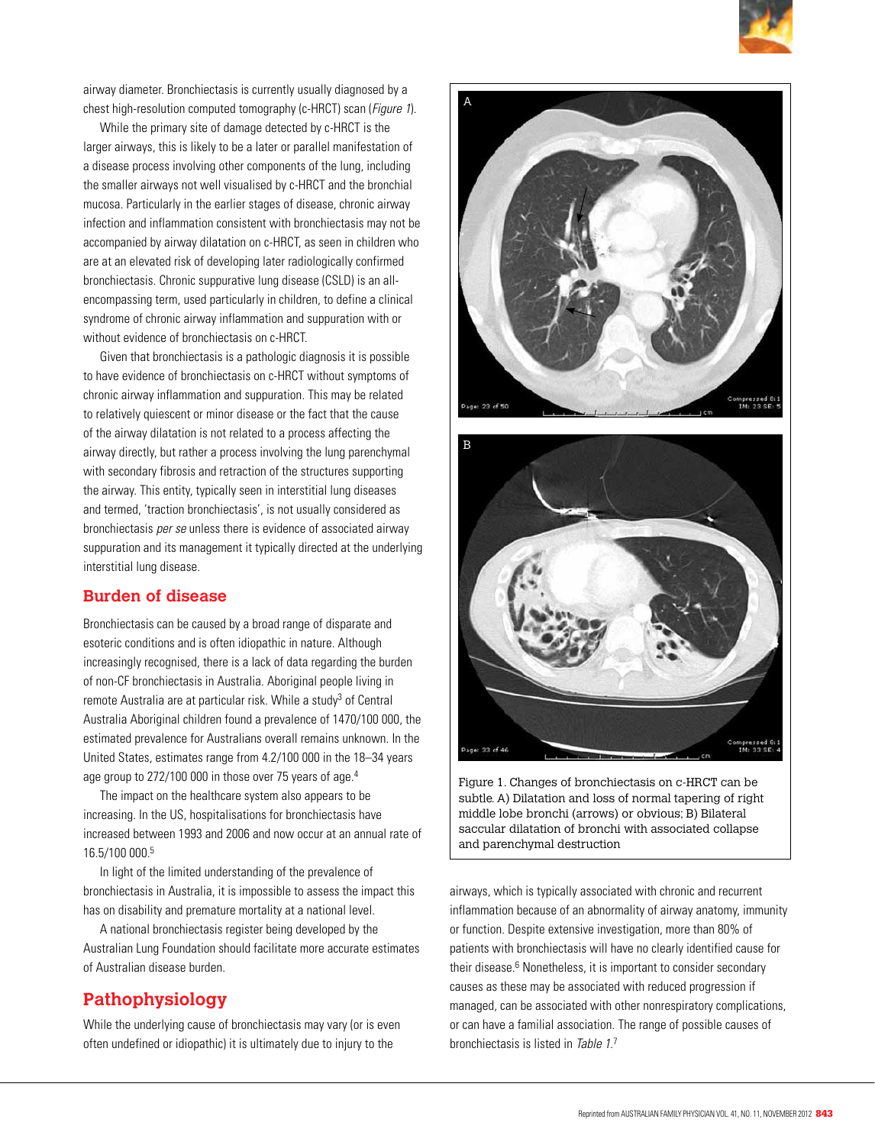

airway diameter. Bronchiectasis is currently usually diagnosed by a chest high-resolution computed tomography (c-HRCT) scan (Figure 1).

While the primary site of damage detected by c-HRCT is the larger airways, this is likely to be a later or parallel manifestation of a disease process involving other components of the lung, including the smaller airways not well visualised by c-HRCT and the bronchial mucosa. Particularly in the earlier stages of disease, chronic airway infection and inflammation consistent with bronchiectasis may not be accompanied by airway dilatation on c-HRCT, as seen in children who are at an elevated risk of developing later radiologically confirmed bronchiectasis. Chronic suppurative lung disease (CSLD) is an allencompassing term, used particularly in children, to define a clinical syndrome of chronic airway inflammation and suppuration with or without evidence of bronchiectasis on c-HRCT.

Given that bronchiectasis is a pathologic diagnosis it is possible to have evidence of bronchiectasis on c-HRCT without symptoms of chronic airway inflammation and suppuration. This may be related to relatively quiescent or minor disease or the fact that the cause of the airway dilatation is not related to a process affecting the airway directly, but rather a process involving the lung parenchymal with secondary fibrosis and retraction of the structures supporting the airway. This entity, typically seen in interstitial lung diseases and termed, 'traction bronchiectasis', is not usually considered as bronchiectasis per se unless there is evidence of associated airway suppuration and its management it typically directed at the underlying interstitial lung disease.

## **Burden of disease**

Bronchiectasis can be caused by a broad range of disparate and esoteric conditions and is often idiopathic in nature. Although increasingly recognised, there is a lack of data regarding the burden of non-CF bronchiectasis in Australia. Aboriginal people living in remote Australia are at particular risk. While a study<sup>3</sup> of Central Australia Aboriginal children found a prevalence of 1470/100 000, the estimated prevalence for Australians overall remains unknown. In the United States, estimates range from 4.2/100 000 in the 18–34 years age group to 272/100 000 in those over 75 years of age.<sup>4</sup>

 The impact on the healthcare system also appears to be increasing. In the US, hospitalisations for bronchiectasis have increased between 1993 and 2006 and now occur at an annual rate of 16.5/100 000.5

In light of the limited understanding of the prevalence of bronchiectasis in Australia, it is impossible to assess the impact this has on disability and premature mortality at a national level.

A national bronchiectasis register being developed by the Australian Lung Foundation should facilitate more accurate estimates of Australian disease burden.

# **Pathophysiology**

While the underlying cause of bronchiectasis may vary (or is even often undefined or idiopathic) it is ultimately due to injury to the





Figure 1. Changes of bronchiectasis on c-HRCT can be subtle. A) Dilatation and loss of normal tapering of right middle lobe bronchi (arrows) or obvious; B) Bilateral saccular dilatation of bronchi with associated collapse and parenchymal destruction

airways, which is typically associated with chronic and recurrent inflammation because of an abnormality of airway anatomy, immunity or function. Despite extensive investigation, more than 80% of patients with bronchiectasis will have no clearly identified cause for their disease.<sup>6</sup> Nonetheless, it is important to consider secondary causes as these may be associated with reduced progression if managed, can be associated with other nonrespiratory complications, or can have a familial association. The range of possible causes of bronchiectasis is listed in Table 1.7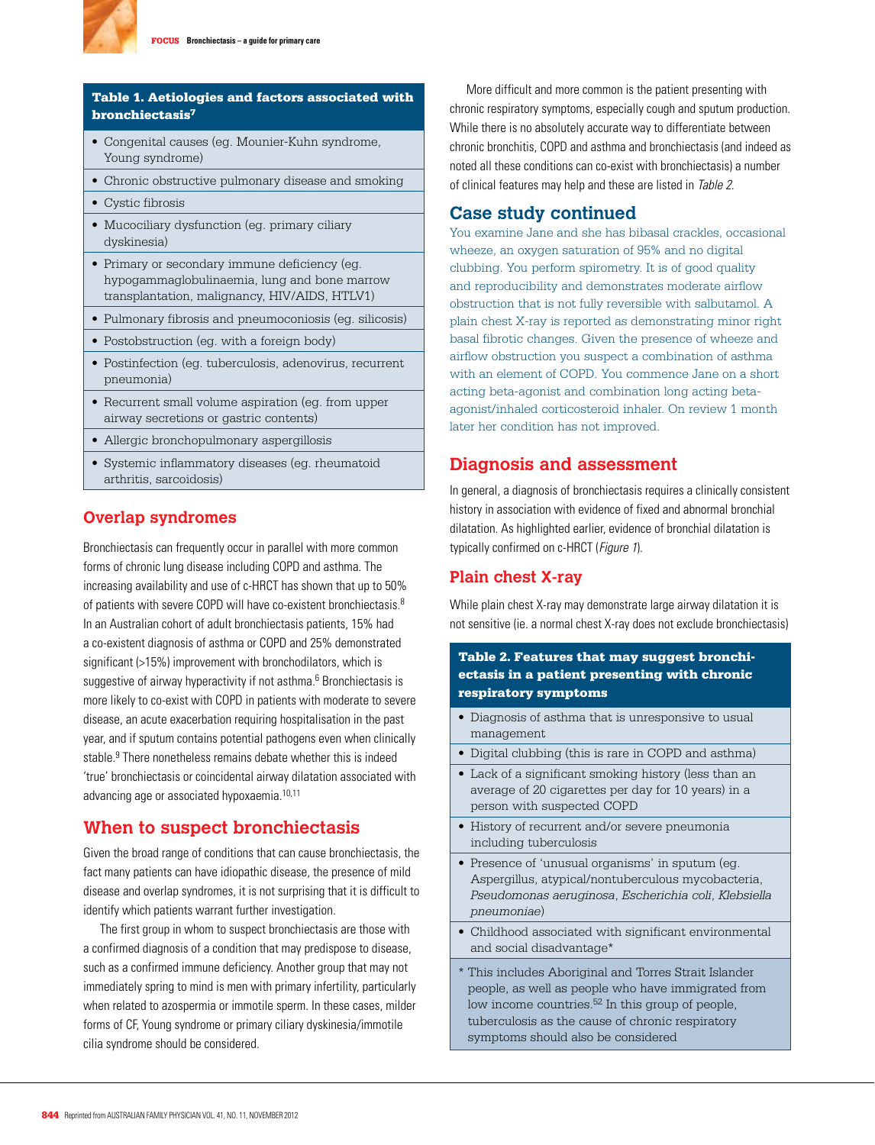

## Table 1. Aetiologies and factors associated with bronchiectasis7

- Congenital causes (eg. Mounier-Kuhn syndrome, Young syndrome)
- Chronic obstructive pulmonary disease and smoking
- Cystic fibrosis
- Mucociliary dysfunction (eg. primary ciliary dyskinesia)
- Primary or secondary immune deficiency (eg. hypogammaglobulinaemia, lung and bone marrow transplantation, malignancy, HIV/AIDS, HTLV1)
- Pulmonary fibrosis and pneumoconiosis (eq. silicosis)
- Postobstruction (eg. with a foreign body)
- Postinfection (eg. tuberculosis, adenovirus, recurrent pneumonia)
- Recurrent small volume aspiration (eg. from upper airway secretions or gastric contents)
- Allergic bronchopulmonary aspergillosis
- Systemic inflammatory diseases (eg. rheumatoid arthritis, sarcoidosis)

## **Overlap syndromes**

Bronchiectasis can frequently occur in parallel with more common forms of chronic lung disease including COPD and asthma. The increasing availability and use of c-HRCT has shown that up to 50% of patients with severe COPD will have co-existent bronchiectasis.<sup>8</sup> In an Australian cohort of adult bronchiectasis patients, 15% had a co-existent diagnosis of asthma or COPD and 25% demonstrated significant (>15%) improvement with bronchodilators, which is suggestive of airway hyperactivity if not asthma.<sup>6</sup> Bronchiectasis is more likely to co-exist with COPD in patients with moderate to severe disease, an acute exacerbation requiring hospitalisation in the past year, and if sputum contains potential pathogens even when clinically stable.<sup>9</sup> There nonetheless remains debate whether this is indeed 'true' bronchiectasis or coincidental airway dilatation associated with advancing age or associated hypoxaemia.<sup>10,11</sup>

## **When to suspect bronchiectasis**

Given the broad range of conditions that can cause bronchiectasis, the fact many patients can have idiopathic disease, the presence of mild disease and overlap syndromes, it is not surprising that it is difficult to identify which patients warrant further investigation.

The first group in whom to suspect bronchiectasis are those with a confirmed diagnosis of a condition that may predispose to disease, such as a confirmed immune deficiency. Another group that may not immediately spring to mind is men with primary infertility, particularly when related to azospermia or immotile sperm. In these cases, milder forms of CF, Young syndrome or primary ciliary dyskinesia/immotile cilia syndrome should be considered.

More difficult and more common is the patient presenting with chronic respiratory symptoms, especially cough and sputum production. While there is no absolutely accurate way to differentiate between chronic bronchitis, COPD and asthma and bronchiectasis (and indeed as noted all these conditions can co-exist with bronchiectasis) a number of clinical features may help and these are listed in Table 2.

## **Case study continued**

You examine Jane and she has bibasal crackles, occasional wheeze, an oxygen saturation of 95% and no digital clubbing. You perform spirometry. It is of good quality and reproducibility and demonstrates moderate airflow obstruction that is not fully reversible with salbutamol. A plain chest X-ray is reported as demonstrating minor right basal fibrotic changes. Given the presence of wheeze and airflow obstruction you suspect a combination of asthma with an element of COPD. You commence Jane on a short acting beta-agonist and combination long acting betaagonist/inhaled corticosteroid inhaler. On review 1 month later her condition has not improved.

## **Diagnosis and assessment**

In general, a diagnosis of bronchiectasis requires a clinically consistent history in association with evidence of fixed and abnormal bronchial dilatation. As highlighted earlier, evidence of bronchial dilatation is typically confirmed on c-HRCT (Figure 1).

## **Plain chest X-ray**

While plain chest X-ray may demonstrate large airway dilatation it is not sensitive (ie. a normal chest X-ray does not exclude bronchiectasis)

## Table 2. Features that may suggest bronchiectasis in a patient presenting with chronic respiratory symptoms

- Diagnosis of asthma that is unresponsive to usual management
- Digital clubbing (this is rare in COPD and asthma)
- Lack of a significant smoking history (less than an average of 20 cigarettes per day for 10 years) in a person with suspected COPD
- History of recurrent and/or severe pneumonia including tuberculosis
- Presence of 'unusual organisms' in sputum (eg. Aspergillus, atypical/nontuberculous mycobacteria, *Pseudomonas aeruginosa*, *Escherichia coli*, *Klebsiella pneumoniae*)
- Childhood associated with significant environmental and social disadvantage\*
- \* This includes Aboriginal and Torres Strait Islander people, as well as people who have immigrated from low income countries.<sup>52</sup> In this group of people, tuberculosis as the cause of chronic respiratory symptoms should also be considered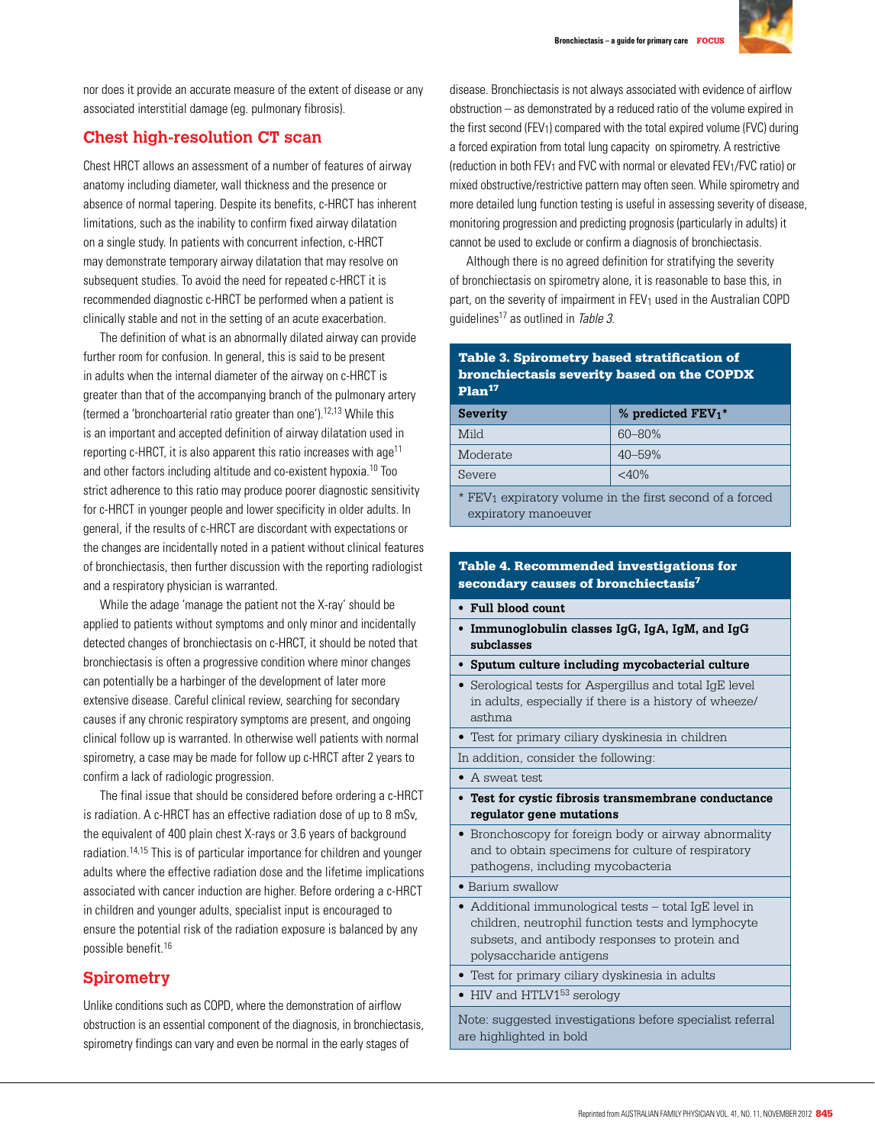

nor does it provide an accurate measure of the extent of disease or any associated interstitial damage (eg. pulmonary fibrosis).

## **Chest high-resolution CT scan**

Chest HRCT allows an assessment of a number of features of airway anatomy including diameter, wall thickness and the presence or absence of normal tapering. Despite its benefits, c-HRCT has inherent limitations, such as the inability to confirm fixed airway dilatation on a single study. In patients with concurrent infection, c-HRCT may demonstrate temporary airway dilatation that may resolve on subsequent studies. To avoid the need for repeated c-HRCT it is recommended diagnostic c-HRCT be performed when a patient is clinically stable and not in the setting of an acute exacerbation.

The definition of what is an abnormally dilated airway can provide further room for confusion. In general, this is said to be present in adults when the internal diameter of the airway on c-HRCT is greater than that of the accompanying branch of the pulmonary artery (termed a 'bronchoarterial ratio greater than one').12,13 While this is an important and accepted definition of airway dilatation used in reporting c-HRCT, it is also apparent this ratio increases with age11 and other factors including altitude and co-existent hypoxia.10 Too strict adherence to this ratio may produce poorer diagnostic sensitivity for c-HRCT in younger people and lower specificity in older adults. In general, if the results of c-HRCT are discordant with expectations or the changes are incidentally noted in a patient without clinical features of bronchiectasis, then further discussion with the reporting radiologist and a respiratory physician is warranted.

While the adage 'manage the patient not the X-ray' should be applied to patients without symptoms and only minor and incidentally detected changes of bronchiectasis on c-HRCT, it should be noted that bronchiectasis is often a progressive condition where minor changes can potentially be a harbinger of the development of later more extensive disease. Careful clinical review, searching for secondary causes if any chronic respiratory symptoms are present, and ongoing clinical follow up is warranted. In otherwise well patients with normal spirometry, a case may be made for follow up c-HRCT after 2 years to confirm a lack of radiologic progression.

The final issue that should be considered before ordering a c-HRCT is radiation. A c-HRCT has an effective radiation dose of up to 8 mSv, the equivalent of 400 plain chest X-rays or 3.6 years of background radiation.14,15 This is of particular importance for children and younger adults where the effective radiation dose and the lifetime implications associated with cancer induction are higher. Before ordering a c-HRCT in children and younger adults, specialist input is encouraged to ensure the potential risk of the radiation exposure is balanced by any possible benefit.16

## **Spirometry**

Unlike conditions such as COPD, where the demonstration of airflow obstruction is an essential component of the diagnosis, in bronchiectasis, spirometry findings can vary and even be normal in the early stages of

disease. Bronchiectasis is not always associated with evidence of airflow obstruction – as demonstrated by a reduced ratio of the volume expired in the first second (FEV1) compared with the total expired volume (FVC) during a forced expiration from total lung capacity on spirometry. A restrictive (reduction in both FEV1 and FVC with normal or elevated FEV1/FVC ratio) or mixed obstructive/restrictive pattern may often seen. While spirometry and more detailed lung function testing is useful in assessing severity of disease, monitoring progression and predicting prognosis (particularly in adults) it cannot be used to exclude or confirm a diagnosis of bronchiectasis.

Although there is no agreed definition for stratifying the severity of bronchiectasis on spirometry alone, it is reasonable to base this, in part, on the severity of impairment in FEV<sub>1</sub> used in the Australian COPD quidelines<sup>17</sup> as outlined in Table 3.

#### Table 3. Spirometry based stratification of bronchiectasis severity based on the COPDX Plan<sup>17</sup>

| <b>Severity</b> | % predicted $\text{FEV}_1$ <sup>*</sup> |
|-----------------|-----------------------------------------|
| Mild            | $60 - 80%$                              |
| Moderate        | $40 - 59%$                              |
| Severe          | $<$ 40%                                 |

\* FEV1 expiratory volume in the first second of a forced expiratory manoeuver

## Table 4. Recommended investigations for secondary causes of bronchiectasis7

- **Full blood count**
- **Immunoglobulin classes IgG, IgA, IgM, and IgG subclasses**
- **Sputum culture including mycobacterial culture**
- Serological tests for Aspergillus and total IgE level in adults, especially if there is a history of wheeze/ asthma
- Test for primary ciliary dyskinesia in children

In addition, consider the following:

- A sweat test
- **Test for cystic fibrosis transmembrane conductance regulator gene mutations**
- Bronchoscopy for foreign body or airway abnormality and to obtain specimens for culture of respiratory pathogens, including mycobacteria
- Barium swallow
- Additional immunological tests total IgE level in children, neutrophil function tests and lymphocyte subsets, and antibody responses to protein and polysaccharide antigens
- Test for primary ciliary dyskinesia in adults
- $\bullet$  HIV and HTLV1 $^{53}$  serology

Note: suggested investigations before specialist referral are highlighted in bold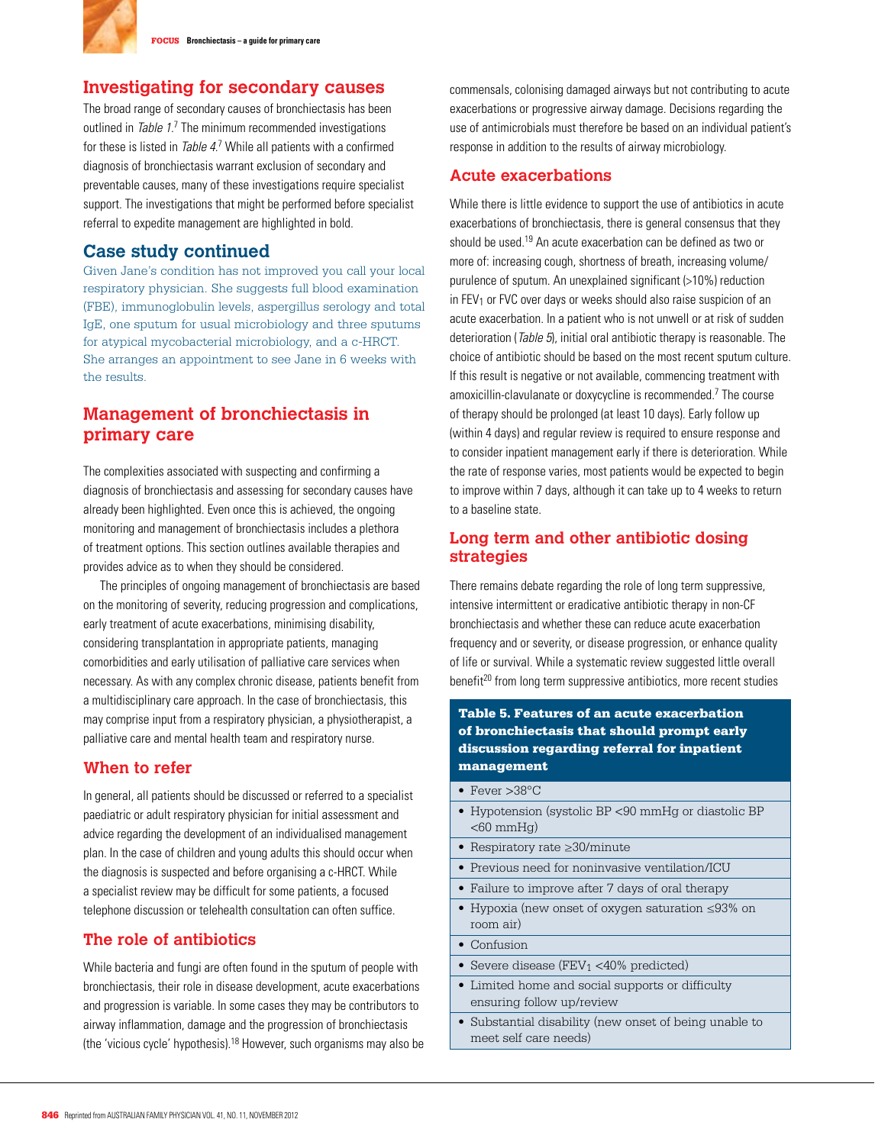

## **Investigating for secondary causes**

The broad range of secondary causes of bronchiectasis has been outlined in Table 1.<sup>7</sup> The minimum recommended investigations for these is listed in Table 4.7 While all patients with a confirmed diagnosis of bronchiectasis warrant exclusion of secondary and preventable causes, many of these investigations require specialist support. The investigations that might be performed before specialist referral to expedite management are highlighted in bold.

## **Case study continued**

Given Jane's condition has not improved you call your local respiratory physician. She suggests full blood examination (FBE), immunoglobulin levels, aspergillus serology and total IgE, one sputum for usual microbiology and three sputums for atypical mycobacterial microbiology, and a c-HRCT. She arranges an appointment to see Jane in 6 weeks with the results.

## **Management of bronchiectasis in primary care**

The complexities associated with suspecting and confirming a diagnosis of bronchiectasis and assessing for secondary causes have already been highlighted. Even once this is achieved, the ongoing monitoring and management of bronchiectasis includes a plethora of treatment options. This section outlines available therapies and provides advice as to when they should be considered.

The principles of ongoing management of bronchiectasis are based on the monitoring of severity, reducing progression and complications, early treatment of acute exacerbations, minimising disability, considering transplantation in appropriate patients, managing comorbidities and early utilisation of palliative care services when necessary. As with any complex chronic disease, patients benefit from a multidisciplinary care approach. In the case of bronchiectasis, this may comprise input from a respiratory physician, a physiotherapist, a palliative care and mental health team and respiratory nurse.

## **When to refer**

In general, all patients should be discussed or referred to a specialist paediatric or adult respiratory physician for initial assessment and advice regarding the development of an individualised management plan. In the case of children and young adults this should occur when the diagnosis is suspected and before organising a c-HRCT. While a specialist review may be difficult for some patients, a focused telephone discussion or telehealth consultation can often suffice.

## **The role of antibiotics**

While bacteria and fungi are often found in the sputum of people with bronchiectasis, their role in disease development, acute exacerbations and progression is variable. In some cases they may be contributors to airway inflammation, damage and the progression of bronchiectasis (the 'vicious cycle' hypothesis).18 However, such organisms may also be commensals, colonising damaged airways but not contributing to acute exacerbations or progressive airway damage. Decisions regarding the use of antimicrobials must therefore be based on an individual patient's response in addition to the results of airway microbiology.

## **Acute exacerbations**

While there is little evidence to support the use of antibiotics in acute exacerbations of bronchiectasis, there is general consensus that they should be used.19 An acute exacerbation can be defined as two or more of: increasing cough, shortness of breath, increasing volume/ purulence of sputum. An unexplained significant (>10%) reduction in FEV<sub>1</sub> or FVC over days or weeks should also raise suspicion of an acute exacerbation. In a patient who is not unwell or at risk of sudden deterioration (Table 5), initial oral antibiotic therapy is reasonable. The choice of antibiotic should be based on the most recent sputum culture. If this result is negative or not available, commencing treatment with amoxicillin-clavulanate or doxycycline is recommended.7 The course of therapy should be prolonged (at least 10 days). Early follow up (within 4 days) and regular review is required to ensure response and to consider inpatient management early if there is deterioration. While the rate of response varies, most patients would be expected to begin to improve within 7 days, although it can take up to 4 weeks to return to a baseline state.

## **Long term and other antibiotic dosing strategies**

There remains debate regarding the role of long term suppressive, intensive intermittent or eradicative antibiotic therapy in non-CF bronchiectasis and whether these can reduce acute exacerbation frequency and or severity, or disease progression, or enhance quality of life or survival. While a systematic review suggested little overall benefit<sup>20</sup> from long term suppressive antibiotics, more recent studies

### Table 5. Features of an acute exacerbation of bronchiectasis that should prompt early discussion regarding referral for inpatient management

- Fever  $>38^{\circ}$ C
- Hypotension (systolic BP <90 mmHg or diastolic BP  $<$ 60 mmHq $)$
- Respiratory rate ≥30/minute
- Previous need for noninvasive ventilation/ICU
- Failure to improve after 7 days of oral therapy
- Hypoxia (new onset of oxygen saturation ≤93% on room air)
- $\bullet$  Confusion
- Severe disease (FEV $_1$  <40% predicted)
- Limited home and social supports or difficulty ensuring follow up/review
- Substantial disability (new onset of being unable to meet self care needs)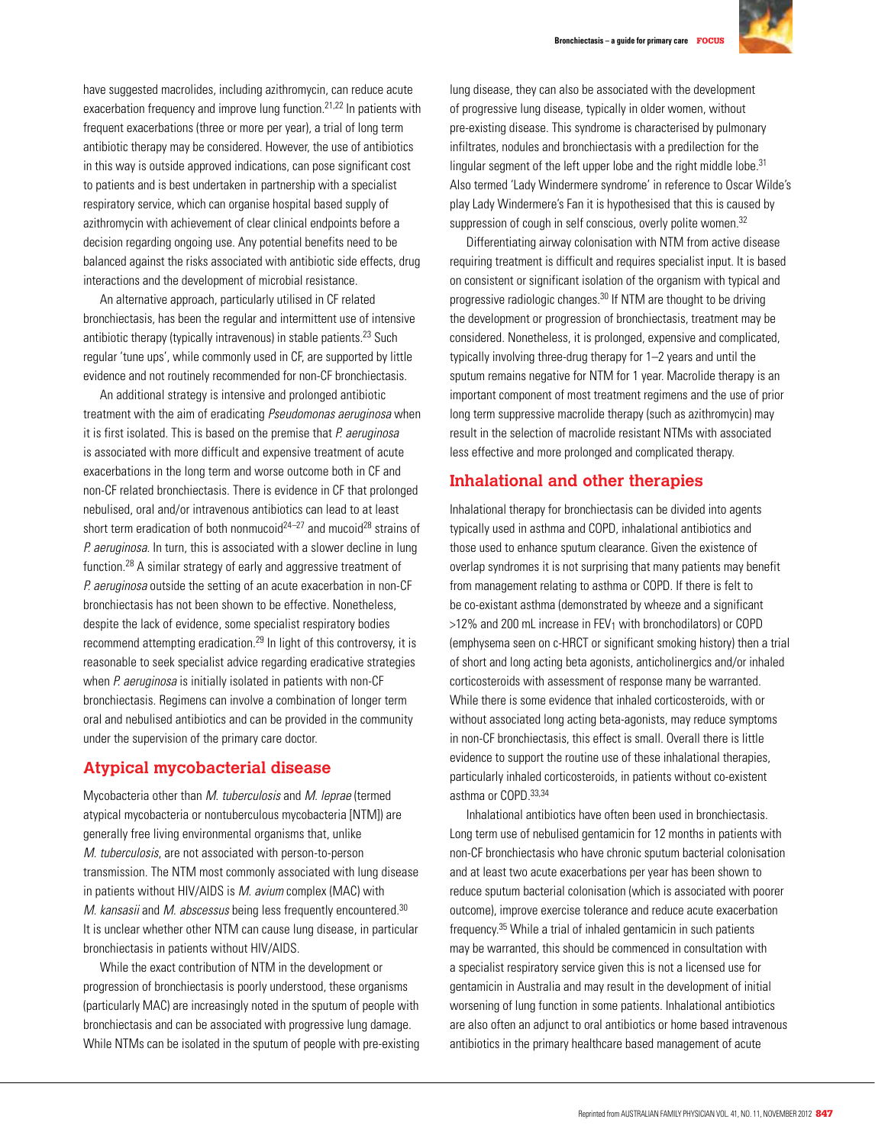

have suggested macrolides, including azithromycin, can reduce acute exacerbation frequency and improve lung function.<sup>21,22</sup> In patients with frequent exacerbations (three or more per year), a trial of long term antibiotic therapy may be considered. However, the use of antibiotics in this way is outside approved indications, can pose significant cost to patients and is best undertaken in partnership with a specialist respiratory service, which can organise hospital based supply of azithromycin with achievement of clear clinical endpoints before a decision regarding ongoing use. Any potential benefits need to be balanced against the risks associated with antibiotic side effects, drug interactions and the development of microbial resistance.

An alternative approach, particularly utilised in CF related bronchiectasis, has been the regular and intermittent use of intensive antibiotic therapy (typically intravenous) in stable patients.<sup>23</sup> Such regular 'tune ups', while commonly used in CF, are supported by little evidence and not routinely recommended for non-CF bronchiectasis.

An additional strategy is intensive and prolonged antibiotic treatment with the aim of eradicating Pseudomonas aeruginosa when it is first isolated. This is based on the premise that  $P$ . aeruginosa is associated with more difficult and expensive treatment of acute exacerbations in the long term and worse outcome both in CF and non-CF related bronchiectasis. There is evidence in CF that prolonged nebulised, oral and/or intravenous antibiotics can lead to at least short term eradication of both nonmucoid<sup>24–27</sup> and mucoid<sup>28</sup> strains of P. aeruginosa. In turn, this is associated with a slower decline in lung function.28 A similar strategy of early and aggressive treatment of P. aeruginosa outside the setting of an acute exacerbation in non-CF bronchiectasis has not been shown to be effective. Nonetheless, despite the lack of evidence, some specialist respiratory bodies recommend attempting eradication.29 In light of this controversy, it is reasonable to seek specialist advice regarding eradicative strategies when P. aeruginosa is initially isolated in patients with non-CF bronchiectasis. Regimens can involve a combination of longer term oral and nebulised antibiotics and can be provided in the community under the supervision of the primary care doctor.

## **Atypical mycobacterial disease**

Mycobacteria other than M. tuberculosis and M. leprae (termed atypical mycobacteria or nontuberculous mycobacteria [NTM]) are generally free living environmental organisms that, unlike M. tuberculosis, are not associated with person-to-person transmission. The NTM most commonly associated with lung disease in patients without HIV/AIDS is M. avium complex (MAC) with M. kansasii and M. abscessus being less frequently encountered.<sup>30</sup> It is unclear whether other NTM can cause lung disease, in particular bronchiectasis in patients without HIV/AIDS.

While the exact contribution of NTM in the development or progression of bronchiectasis is poorly understood, these organisms (particularly MAC) are increasingly noted in the sputum of people with bronchiectasis and can be associated with progressive lung damage. While NTMs can be isolated in the sputum of people with pre-existing lung disease, they can also be associated with the development of progressive lung disease, typically in older women, without pre-existing disease. This syndrome is characterised by pulmonary infiltrates, nodules and bronchiectasis with a predilection for the lingular segment of the left upper lobe and the right middle lobe.<sup>31</sup> Also termed 'Lady Windermere syndrome' in reference to Oscar Wilde's play Lady Windermere's Fan it is hypothesised that this is caused by suppression of cough in self conscious, overly polite women.<sup>32</sup>

Differentiating airway colonisation with NTM from active disease requiring treatment is difficult and requires specialist input. It is based on consistent or significant isolation of the organism with typical and progressive radiologic changes.30 If NTM are thought to be driving the development or progression of bronchiectasis, treatment may be considered. Nonetheless, it is prolonged, expensive and complicated, typically involving three-drug therapy for 1–2 years and until the sputum remains negative for NTM for 1 year. Macrolide therapy is an important component of most treatment regimens and the use of prior long term suppressive macrolide therapy (such as azithromycin) may result in the selection of macrolide resistant NTMs with associated less effective and more prolonged and complicated therapy.

#### **Inhalational and other therapies**

Inhalational therapy for bronchiectasis can be divided into agents typically used in asthma and COPD, inhalational antibiotics and those used to enhance sputum clearance. Given the existence of overlap syndromes it is not surprising that many patients may benefit from management relating to asthma or COPD. If there is felt to be co-existant asthma (demonstrated by wheeze and a significant  $>12\%$  and 200 mL increase in FEV<sub>1</sub> with bronchodilators) or COPD (emphysema seen on c-HRCT or significant smoking history) then a trial of short and long acting beta agonists, anticholinergics and/or inhaled corticosteroids with assessment of response many be warranted. While there is some evidence that inhaled corticosteroids, with or without associated long acting beta-agonists, may reduce symptoms in non-CF bronchiectasis, this effect is small. Overall there is little evidence to support the routine use of these inhalational therapies, particularly inhaled corticosteroids, in patients without co-existent asthma or COPD.33,34

Inhalational antibiotics have often been used in bronchiectasis. Long term use of nebulised gentamicin for 12 months in patients with non-CF bronchiectasis who have chronic sputum bacterial colonisation and at least two acute exacerbations per year has been shown to reduce sputum bacterial colonisation (which is associated with poorer outcome), improve exercise tolerance and reduce acute exacerbation frequency.35 While a trial of inhaled gentamicin in such patients may be warranted, this should be commenced in consultation with a specialist respiratory service given this is not a licensed use for gentamicin in Australia and may result in the development of initial worsening of lung function in some patients. Inhalational antibiotics are also often an adjunct to oral antibiotics or home based intravenous antibiotics in the primary healthcare based management of acute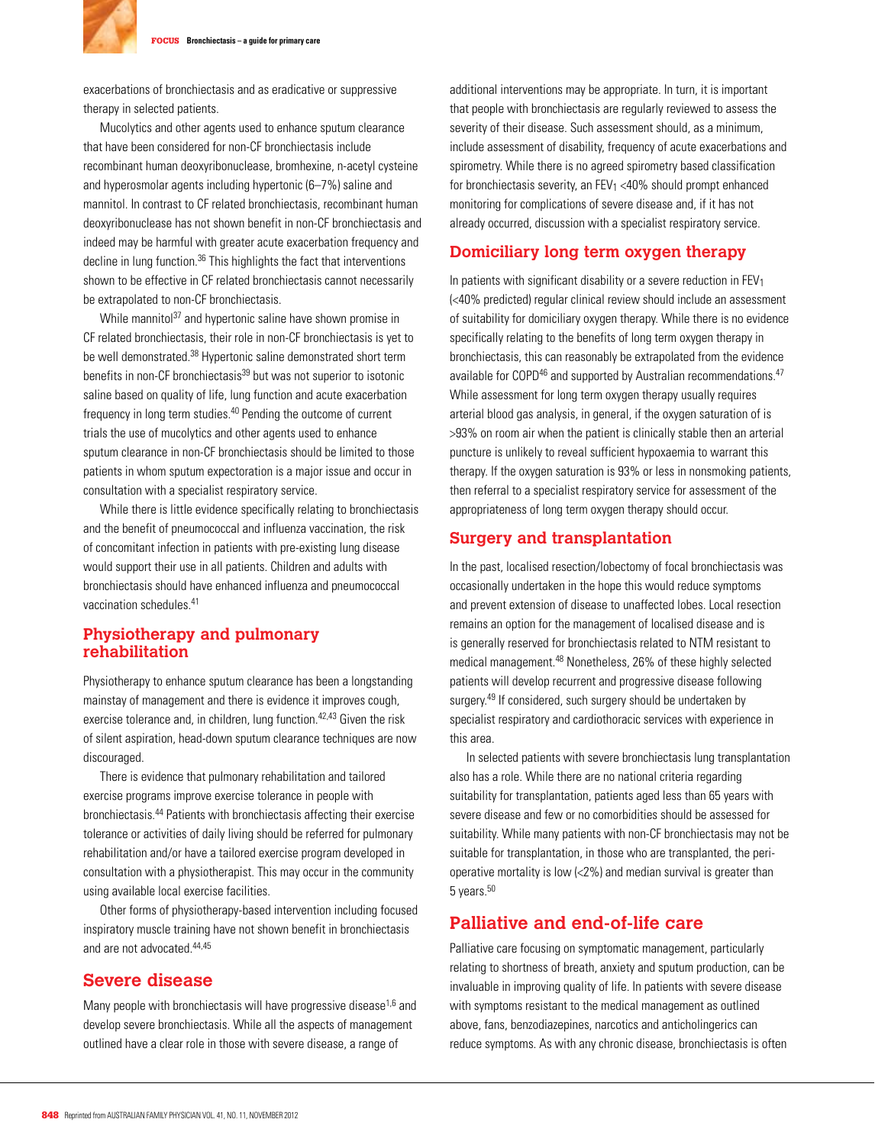

exacerbations of bronchiectasis and as eradicative or suppressive therapy in selected patients.

Mucolytics and other agents used to enhance sputum clearance that have been considered for non-CF bronchiectasis include recombinant human deoxyribonuclease, bromhexine, n-acetyl cysteine and hyperosmolar agents including hypertonic (6–7%) saline and mannitol. In contrast to CF related bronchiectasis, recombinant human deoxyribonuclease has not shown benefit in non-CF bronchiectasis and indeed may be harmful with greater acute exacerbation frequency and decline in lung function.<sup>36</sup> This highlights the fact that interventions shown to be effective in CF related bronchiectasis cannot necessarily be extrapolated to non-CF bronchiectasis.

While mannitol<sup>37</sup> and hypertonic saline have shown promise in CF related bronchiectasis, their role in non-CF bronchiectasis is yet to be well demonstrated.<sup>38</sup> Hypertonic saline demonstrated short term benefits in non-CF bronchiectasis<sup>39</sup> but was not superior to isotonic saline based on quality of life, lung function and acute exacerbation frequency in long term studies.40 Pending the outcome of current trials the use of mucolytics and other agents used to enhance sputum clearance in non-CF bronchiectasis should be limited to those patients in whom sputum expectoration is a major issue and occur in consultation with a specialist respiratory service.

While there is little evidence specifically relating to bronchiectasis and the benefit of pneumococcal and influenza vaccination, the risk of concomitant infection in patients with pre-existing lung disease would support their use in all patients. Children and adults with bronchiectasis should have enhanced influenza and pneumococcal vaccination schedules.41

## **Physiotherapy and pulmonary rehabilitation**

Physiotherapy to enhance sputum clearance has been a longstanding mainstay of management and there is evidence it improves cough, exercise tolerance and, in children, lung function. $42,43$  Given the risk of silent aspiration, head-down sputum clearance techniques are now discouraged.

There is evidence that pulmonary rehabilitation and tailored exercise programs improve exercise tolerance in people with bronchiectasis.44 Patients with bronchiectasis affecting their exercise tolerance or activities of daily living should be referred for pulmonary rehabilitation and/or have a tailored exercise program developed in consultation with a physiotherapist. This may occur in the community using available local exercise facilities.

Other forms of physiotherapy-based intervention including focused inspiratory muscle training have not shown benefit in bronchiectasis and are not advocated  $44,45$ 

## **Severe disease**

Many people with bronchiectasis will have progressive disease<sup>1,6</sup> and develop severe bronchiectasis. While all the aspects of management outlined have a clear role in those with severe disease, a range of

additional interventions may be appropriate. In turn, it is important that people with bronchiectasis are regularly reviewed to assess the severity of their disease. Such assessment should, as a minimum, include assessment of disability, frequency of acute exacerbations and spirometry. While there is no agreed spirometry based classification for bronchiectasis severity, an  $FEV_1$  <40% should prompt enhanced monitoring for complications of severe disease and, if it has not already occurred, discussion with a specialist respiratory service.

## **Domiciliary long term oxygen therapy**

In patients with significant disability or a severe reduction in  $FEV<sub>1</sub>$ (<40% predicted) regular clinical review should include an assessment of suitability for domiciliary oxygen therapy. While there is no evidence specifically relating to the benefits of long term oxygen therapy in bronchiectasis, this can reasonably be extrapolated from the evidence available for COPD<sup>46</sup> and supported by Australian recommendations.<sup>47</sup> While assessment for long term oxygen therapy usually requires arterial blood gas analysis, in general, if the oxygen saturation of is >93% on room air when the patient is clinically stable then an arterial puncture is unlikely to reveal sufficient hypoxaemia to warrant this therapy. If the oxygen saturation is 93% or less in nonsmoking patients, then referral to a specialist respiratory service for assessment of the appropriateness of long term oxygen therapy should occur.

#### **Surgery and transplantation**

In the past, localised resection/lobectomy of focal bronchiectasis was occasionally undertaken in the hope this would reduce symptoms and prevent extension of disease to unaffected lobes. Local resection remains an option for the management of localised disease and is is generally reserved for bronchiectasis related to NTM resistant to medical management.48 Nonetheless, 26% of these highly selected patients will develop recurrent and progressive disease following surgery.<sup>49</sup> If considered, such surgery should be undertaken by specialist respiratory and cardiothoracic services with experience in this area.

In selected patients with severe bronchiectasis lung transplantation also has a role. While there are no national criteria regarding suitability for transplantation, patients aged less than 65 years with severe disease and few or no comorbidities should be assessed for suitability. While many patients with non-CF bronchiectasis may not be suitable for transplantation, in those who are transplanted, the perioperative mortality is low (<2%) and median survival is greater than 5 years.<sup>50</sup>

## **Palliative and end-of-life care**

Palliative care focusing on symptomatic management, particularly relating to shortness of breath, anxiety and sputum production, can be invaluable in improving quality of life. In patients with severe disease with symptoms resistant to the medical management as outlined above, fans, benzodiazepines, narcotics and anticholingerics can reduce symptoms. As with any chronic disease, bronchiectasis is often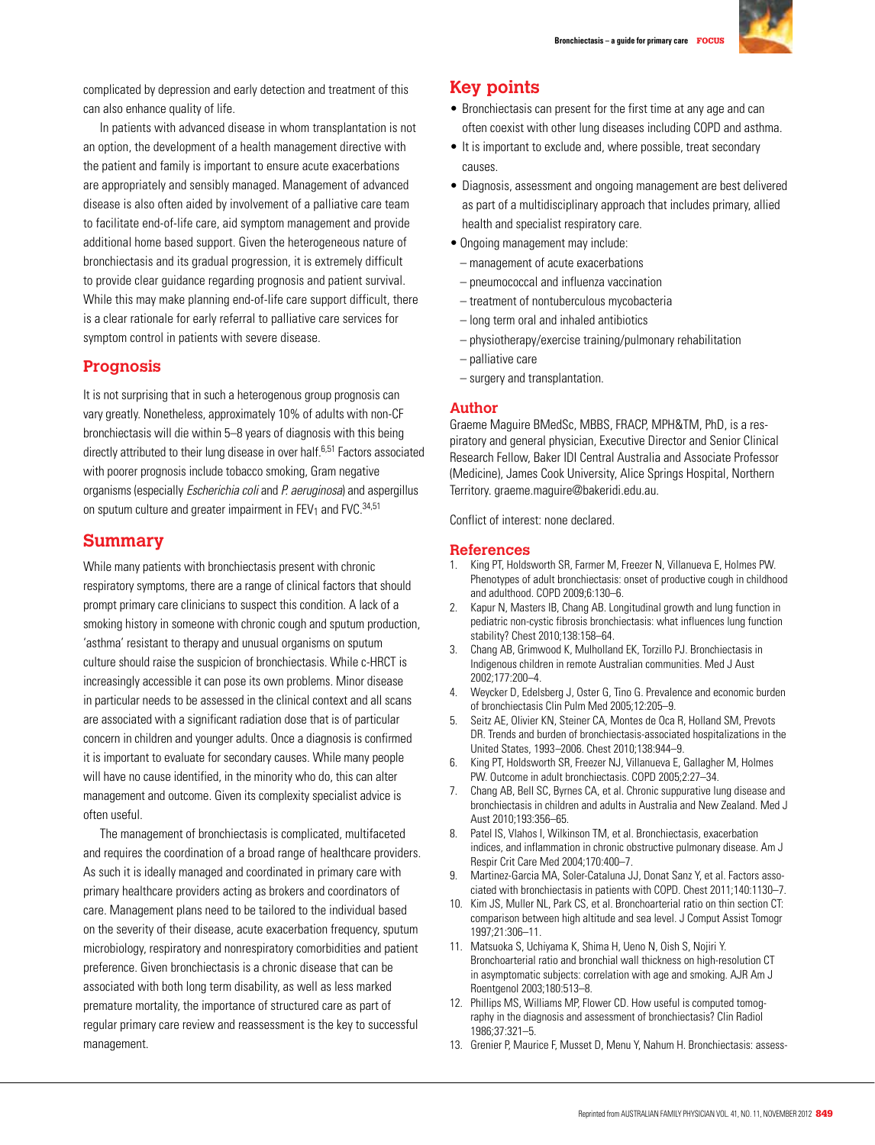

complicated by depression and early detection and treatment of this can also enhance quality of life.

In patients with advanced disease in whom transplantation is not an option, the development of a health management directive with the patient and family is important to ensure acute exacerbations are appropriately and sensibly managed. Management of advanced disease is also often aided by involvement of a palliative care team to facilitate end-of-life care, aid symptom management and provide additional home based support. Given the heterogeneous nature of bronchiectasis and its gradual progression, it is extremely difficult to provide clear guidance regarding prognosis and patient survival. While this may make planning end-of-life care support difficult, there is a clear rationale for early referral to palliative care services for symptom control in patients with severe disease.

## **Prognosis**

It is not surprising that in such a heterogenous group prognosis can vary greatly. Nonetheless, approximately 10% of adults with non-CF bronchiectasis will die within 5–8 years of diagnosis with this being directly attributed to their lung disease in over half.<sup>6,51</sup> Factors associated with poorer prognosis include tobacco smoking, Gram negative organisms (especially Escherichia coli and P. aeruginosa) and aspergillus on sputum culture and greater impairment in FEV<sub>1</sub> and FVC.  $^{34,51}$ 

## **Summary**

While many patients with bronchiectasis present with chronic respiratory symptoms, there are a range of clinical factors that should prompt primary care clinicians to suspect this condition. A lack of a smoking history in someone with chronic cough and sputum production, 'asthma' resistant to therapy and unusual organisms on sputum culture should raise the suspicion of bronchiectasis. While c-HRCT is increasingly accessible it can pose its own problems. Minor disease in particular needs to be assessed in the clinical context and all scans are associated with a significant radiation dose that is of particular concern in children and younger adults. Once a diagnosis is confirmed it is important to evaluate for secondary causes. While many people will have no cause identified, in the minority who do, this can alter management and outcome. Given its complexity specialist advice is often useful.

The management of bronchiectasis is complicated, multifaceted and requires the coordination of a broad range of healthcare providers. As such it is ideally managed and coordinated in primary care with primary healthcare providers acting as brokers and coordinators of care. Management plans need to be tailored to the individual based on the severity of their disease, acute exacerbation frequency, sputum microbiology, respiratory and nonrespiratory comorbidities and patient preference. Given bronchiectasis is a chronic disease that can be associated with both long term disability, as well as less marked premature mortality, the importance of structured care as part of regular primary care review and reassessment is the key to successful management.

# **Key points**

- Bronchiectasis can present for the first time at any age and can often coexist with other lung diseases including COPD and asthma.
- It is important to exclude and, where possible, treat secondary causes.
- Diagnosis, assessment and ongoing management are best delivered as part of a multidisciplinary approach that includes primary, allied health and specialist respiratory care.
- Ongoing management may include:
- management of acute exacerbations
- pneumococcal and influenza vaccination
- treatment of nontuberculous mycobacteria
- long term oral and inhaled antibiotics
- physiotherapy/exercise training/pulmonary rehabilitation
- palliative care
- surgery and transplantation.

#### **Author**

Graeme Maguire BMedSc, MBBS, FRACP, MPH&TM, PhD, is a respiratory and general physician, Executive Director and Senior Clinical Research Fellow, Baker IDI Central Australia and Associate Professor (Medicine), James Cook University, Alice Springs Hospital, Northern Territory. graeme.maguire@bakeridi.edu.au.

Conflict of interest: none declared.

#### **References**

- 1. King PT, Holdsworth SR, Farmer M, Freezer N, Villanueva E, Holmes PW. Phenotypes of adult bronchiectasis: onset of productive cough in childhood and adulthood. COPD 2009;6:130–6.
- 2. Kapur N, Masters IB, Chang AB. Longitudinal growth and lung function in pediatric non-cystic fibrosis bronchiectasis: what influences lung function stability? Chest 2010;138:158–64.
- 3. Chang AB, Grimwood K, Mulholland EK, Torzillo PJ. Bronchiectasis in Indigenous children in remote Australian communities. Med J Aust 2002;177:200–4.
- 4. Weycker D, Edelsberg J, Oster G, Tino G. Prevalence and economic burden of bronchiectasis Clin Pulm Med 2005;12:205–9.
- 5. Seitz AE, Olivier KN, Steiner CA, Montes de Oca R, Holland SM, Prevots DR. Trends and burden of bronchiectasis-associated hospitalizations in the United States, 1993–2006. Chest 2010;138:944–9.
- 6. King PT, Holdsworth SR, Freezer NJ, Villanueva E, Gallagher M, Holmes PW. Outcome in adult bronchiectasis. COPD 2005;2:27–34.
- 7. Chang AB, Bell SC, Byrnes CA, et al. Chronic suppurative lung disease and bronchiectasis in children and adults in Australia and New Zealand. Med J Aust 2010;193:356–65.
- 8. Patel IS, Vlahos I, Wilkinson TM, et al. Bronchiectasis, exacerbation indices, and inflammation in chronic obstructive pulmonary disease. Am J Respir Crit Care Med 2004;170:400–7.
- 9. Martinez-Garcia MA, Soler-Cataluna JJ, Donat Sanz Y, et al. Factors associated with bronchiectasis in patients with COPD. Chest 2011;140:1130–7.
- 10. Kim JS, Muller NL, Park CS, et al. Bronchoarterial ratio on thin section CT: comparison between high altitude and sea level. J Comput Assist Tomogr 1997;21:306–11.
- 11. Matsuoka S, Uchiyama K, Shima H, Ueno N, Oish S, Nojiri Y. Bronchoarterial ratio and bronchial wall thickness on high-resolution CT in asymptomatic subjects: correlation with age and smoking. AJR Am J Roentgenol 2003;180:513–8.
- 12. Phillips MS, Williams MP, Flower CD. How useful is computed tomography in the diagnosis and assessment of bronchiectasis? Clin Radiol 1986;37:321–5.
- 13. Grenier P, Maurice F, Musset D, Menu Y, Nahum H. Bronchiectasis: assess-